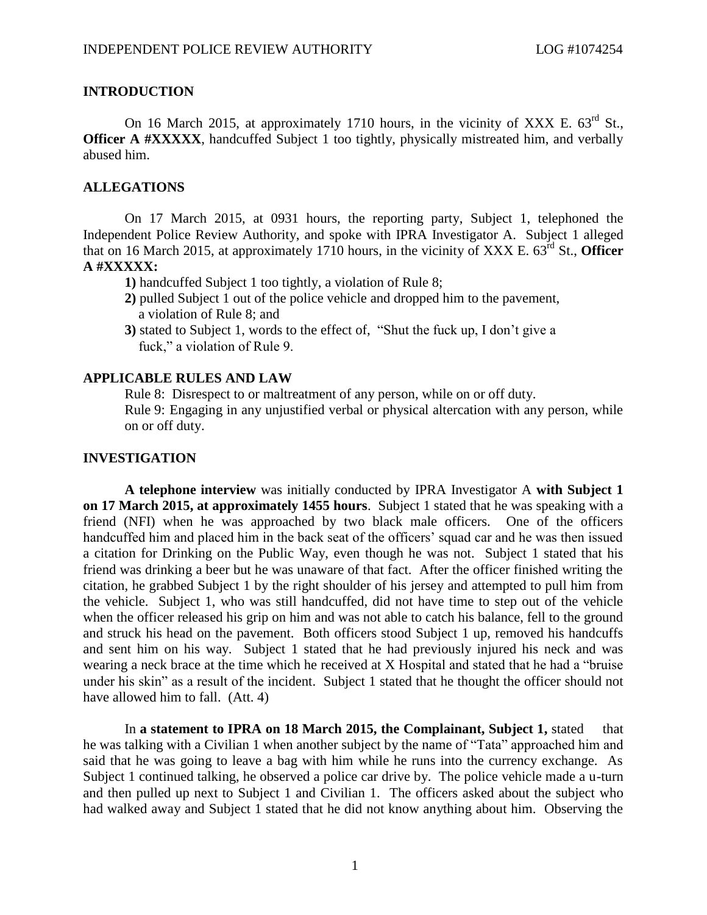### **INTRODUCTION**

On 16 March 2015, at approximately 1710 hours, in the vicinity of XXX E.  $63^{\text{rd}}$  St., **Officer A #XXXXX**, handcuffed Subject 1 too tightly, physically mistreated him, and verbally abused him.

### **ALLEGATIONS**

On 17 March 2015, at 0931 hours, the reporting party, Subject 1, telephoned the Independent Police Review Authority, and spoke with IPRA Investigator A. Subject 1 alleged that on 16 March 2015, at approximately 1710 hours, in the vicinity of XXX E. 63rd St., **Officer A #XXXXX:**

- **1)** handcuffed Subject 1 too tightly, a violation of Rule 8;
- **2)** pulled Subject 1 out of the police vehicle and dropped him to the pavement, a violation of Rule 8; and
- **3)** stated to Subject 1, words to the effect of, "Shut the fuck up, I don't give a fuck," a violation of Rule 9.

# **APPLICABLE RULES AND LAW**

Rule 8: Disrespect to or maltreatment of any person, while on or off duty.

Rule 9: Engaging in any unjustified verbal or physical altercation with any person, while on or off duty.

#### **INVESTIGATION**

**A telephone interview** was initially conducted by IPRA Investigator A **with Subject 1 on 17 March 2015, at approximately 1455 hours**. Subject 1 stated that he was speaking with a friend (NFI) when he was approached by two black male officers. One of the officers handcuffed him and placed him in the back seat of the officers' squad car and he was then issued a citation for Drinking on the Public Way, even though he was not. Subject 1 stated that his friend was drinking a beer but he was unaware of that fact. After the officer finished writing the citation, he grabbed Subject 1 by the right shoulder of his jersey and attempted to pull him from the vehicle. Subject 1, who was still handcuffed, did not have time to step out of the vehicle when the officer released his grip on him and was not able to catch his balance, fell to the ground and struck his head on the pavement. Both officers stood Subject 1 up, removed his handcuffs and sent him on his way. Subject 1 stated that he had previously injured his neck and was wearing a neck brace at the time which he received at X Hospital and stated that he had a "bruise under his skin" as a result of the incident. Subject 1 stated that he thought the officer should not have allowed him to fall. (Att. 4)

In **a statement to IPRA on 18 March 2015, the Complainant, Subject 1,** stated that he was talking with a Civilian 1 when another subject by the name of "Tata" approached him and said that he was going to leave a bag with him while he runs into the currency exchange. As Subject 1 continued talking, he observed a police car drive by. The police vehicle made a u-turn and then pulled up next to Subject 1 and Civilian 1. The officers asked about the subject who had walked away and Subject 1 stated that he did not know anything about him. Observing the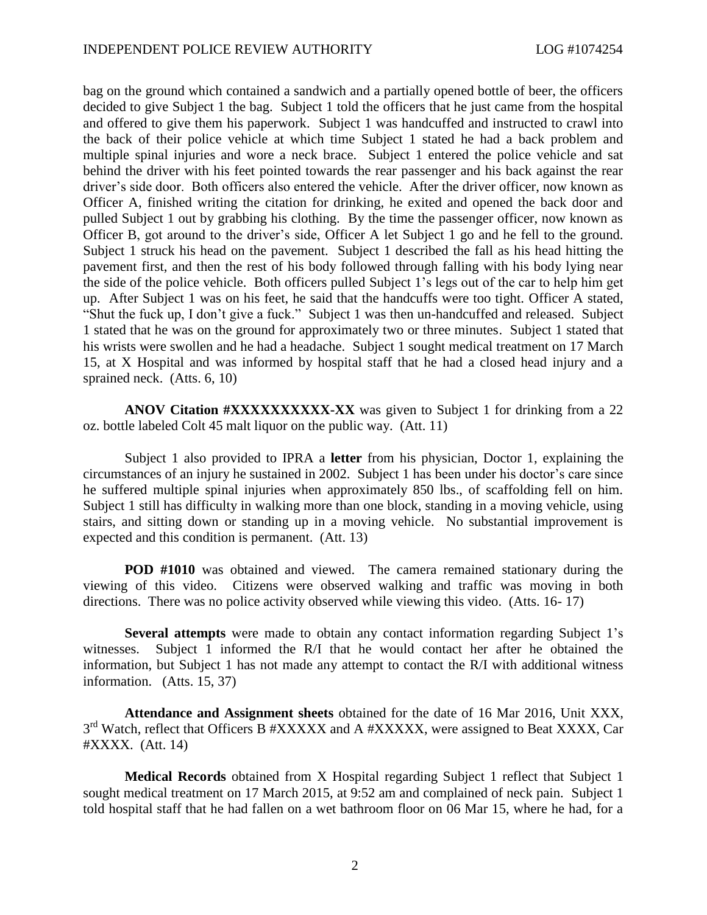bag on the ground which contained a sandwich and a partially opened bottle of beer, the officers decided to give Subject 1 the bag. Subject 1 told the officers that he just came from the hospital and offered to give them his paperwork. Subject 1 was handcuffed and instructed to crawl into the back of their police vehicle at which time Subject 1 stated he had a back problem and multiple spinal injuries and wore a neck brace. Subject 1 entered the police vehicle and sat behind the driver with his feet pointed towards the rear passenger and his back against the rear driver's side door. Both officers also entered the vehicle. After the driver officer, now known as Officer A, finished writing the citation for drinking, he exited and opened the back door and pulled Subject 1 out by grabbing his clothing. By the time the passenger officer, now known as Officer B, got around to the driver's side, Officer A let Subject 1 go and he fell to the ground. Subject 1 struck his head on the pavement. Subject 1 described the fall as his head hitting the pavement first, and then the rest of his body followed through falling with his body lying near the side of the police vehicle. Both officers pulled Subject 1's legs out of the car to help him get up. After Subject 1 was on his feet, he said that the handcuffs were too tight. Officer A stated, "Shut the fuck up, I don't give a fuck." Subject 1 was then un-handcuffed and released. Subject 1 stated that he was on the ground for approximately two or three minutes. Subject 1 stated that his wrists were swollen and he had a headache. Subject 1 sought medical treatment on 17 March 15, at X Hospital and was informed by hospital staff that he had a closed head injury and a sprained neck. (Atts. 6, 10)

**ANOV Citation #XXXXXXXXXX-XX** was given to Subject 1 for drinking from a 22 oz. bottle labeled Colt 45 malt liquor on the public way. (Att. 11)

Subject 1 also provided to IPRA a **letter** from his physician, Doctor 1, explaining the circumstances of an injury he sustained in 2002. Subject 1 has been under his doctor's care since he suffered multiple spinal injuries when approximately 850 lbs., of scaffolding fell on him. Subject 1 still has difficulty in walking more than one block, standing in a moving vehicle, using stairs, and sitting down or standing up in a moving vehicle. No substantial improvement is expected and this condition is permanent. (Att. 13)

**POD #1010** was obtained and viewed. The camera remained stationary during the viewing of this video. Citizens were observed walking and traffic was moving in both directions. There was no police activity observed while viewing this video. (Atts. 16- 17)

**Several attempts** were made to obtain any contact information regarding Subject 1's witnesses. Subject 1 informed the R/I that he would contact her after he obtained the information, but Subject 1 has not made any attempt to contact the R/I with additional witness information. (Atts. 15, 37)

**Attendance and Assignment sheets** obtained for the date of 16 Mar 2016, Unit XXX, 3<sup>rd</sup> Watch, reflect that Officers B #XXXXX and A #XXXXX, were assigned to Beat XXXX, Car #XXXX. (Att. 14)

**Medical Records** obtained from X Hospital regarding Subject 1 reflect that Subject 1 sought medical treatment on 17 March 2015, at 9:52 am and complained of neck pain. Subject 1 told hospital staff that he had fallen on a wet bathroom floor on 06 Mar 15, where he had, for a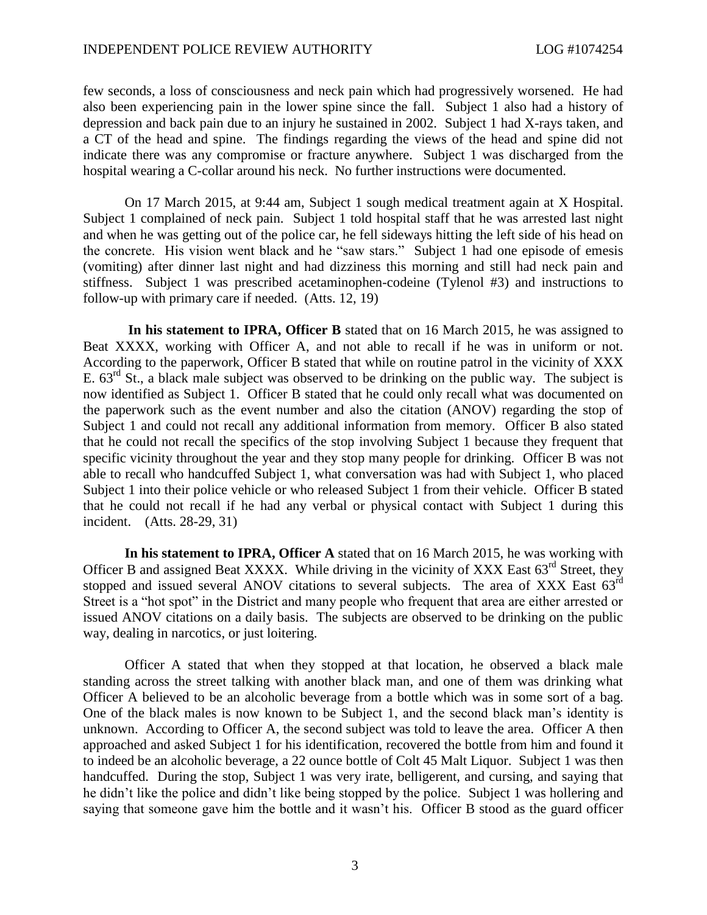few seconds, a loss of consciousness and neck pain which had progressively worsened. He had also been experiencing pain in the lower spine since the fall. Subject 1 also had a history of depression and back pain due to an injury he sustained in 2002. Subject 1 had X-rays taken, and a CT of the head and spine. The findings regarding the views of the head and spine did not indicate there was any compromise or fracture anywhere. Subject 1 was discharged from the hospital wearing a C-collar around his neck. No further instructions were documented.

On 17 March 2015, at 9:44 am, Subject 1 sough medical treatment again at X Hospital. Subject 1 complained of neck pain. Subject 1 told hospital staff that he was arrested last night and when he was getting out of the police car, he fell sideways hitting the left side of his head on the concrete. His vision went black and he "saw stars." Subject 1 had one episode of emesis (vomiting) after dinner last night and had dizziness this morning and still had neck pain and stiffness. Subject 1 was prescribed acetaminophen-codeine (Tylenol #3) and instructions to follow-up with primary care if needed. (Atts. 12, 19)

**In his statement to IPRA, Officer B** stated that on 16 March 2015, he was assigned to Beat XXXX, working with Officer A, and not able to recall if he was in uniform or not. According to the paperwork, Officer B stated that while on routine patrol in the vicinity of XXX E.  $63<sup>rd</sup>$  St., a black male subject was observed to be drinking on the public way. The subject is now identified as Subject 1. Officer B stated that he could only recall what was documented on the paperwork such as the event number and also the citation (ANOV) regarding the stop of Subject 1 and could not recall any additional information from memory. Officer B also stated that he could not recall the specifics of the stop involving Subject 1 because they frequent that specific vicinity throughout the year and they stop many people for drinking. Officer B was not able to recall who handcuffed Subject 1, what conversation was had with Subject 1, who placed Subject 1 into their police vehicle or who released Subject 1 from their vehicle. Officer B stated that he could not recall if he had any verbal or physical contact with Subject 1 during this incident. (Atts. 28-29, 31)

**In his statement to IPRA, Officer A** stated that on 16 March 2015, he was working with Officer B and assigned Beat XXXX. While driving in the vicinity of XXX East 63<sup>rd</sup> Street, they stopped and issued several ANOV citations to several subjects. The area of XXX East 63<sup>rd</sup> Street is a "hot spot" in the District and many people who frequent that area are either arrested or issued ANOV citations on a daily basis. The subjects are observed to be drinking on the public way, dealing in narcotics, or just loitering.

Officer A stated that when they stopped at that location, he observed a black male standing across the street talking with another black man, and one of them was drinking what Officer A believed to be an alcoholic beverage from a bottle which was in some sort of a bag. One of the black males is now known to be Subject 1, and the second black man's identity is unknown. According to Officer A, the second subject was told to leave the area. Officer A then approached and asked Subject 1 for his identification, recovered the bottle from him and found it to indeed be an alcoholic beverage, a 22 ounce bottle of Colt 45 Malt Liquor. Subject 1 was then handcuffed. During the stop, Subject 1 was very irate, belligerent, and cursing, and saying that he didn't like the police and didn't like being stopped by the police. Subject 1 was hollering and saying that someone gave him the bottle and it wasn't his. Officer B stood as the guard officer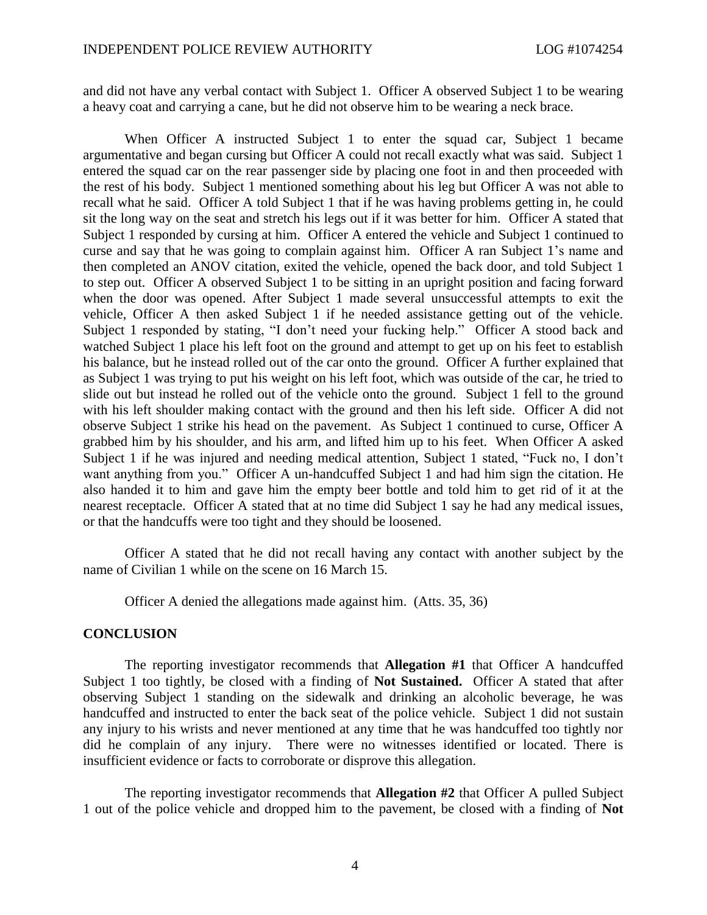and did not have any verbal contact with Subject 1. Officer A observed Subject 1 to be wearing a heavy coat and carrying a cane, but he did not observe him to be wearing a neck brace.

When Officer A instructed Subject 1 to enter the squad car, Subject 1 became argumentative and began cursing but Officer A could not recall exactly what was said. Subject 1 entered the squad car on the rear passenger side by placing one foot in and then proceeded with the rest of his body. Subject 1 mentioned something about his leg but Officer A was not able to recall what he said. Officer A told Subject 1 that if he was having problems getting in, he could sit the long way on the seat and stretch his legs out if it was better for him. Officer A stated that Subject 1 responded by cursing at him. Officer A entered the vehicle and Subject 1 continued to curse and say that he was going to complain against him. Officer A ran Subject 1's name and then completed an ANOV citation, exited the vehicle, opened the back door, and told Subject 1 to step out. Officer A observed Subject 1 to be sitting in an upright position and facing forward when the door was opened. After Subject 1 made several unsuccessful attempts to exit the vehicle, Officer A then asked Subject 1 if he needed assistance getting out of the vehicle. Subject 1 responded by stating, "I don't need your fucking help." Officer A stood back and watched Subject 1 place his left foot on the ground and attempt to get up on his feet to establish his balance, but he instead rolled out of the car onto the ground. Officer A further explained that as Subject 1 was trying to put his weight on his left foot, which was outside of the car, he tried to slide out but instead he rolled out of the vehicle onto the ground. Subject 1 fell to the ground with his left shoulder making contact with the ground and then his left side. Officer A did not observe Subject 1 strike his head on the pavement. As Subject 1 continued to curse, Officer A grabbed him by his shoulder, and his arm, and lifted him up to his feet. When Officer A asked Subject 1 if he was injured and needing medical attention, Subject 1 stated, "Fuck no, I don't want anything from you." Officer A un-handcuffed Subject 1 and had him sign the citation. He also handed it to him and gave him the empty beer bottle and told him to get rid of it at the nearest receptacle. Officer A stated that at no time did Subject 1 say he had any medical issues, or that the handcuffs were too tight and they should be loosened.

Officer A stated that he did not recall having any contact with another subject by the name of Civilian 1 while on the scene on 16 March 15.

Officer A denied the allegations made against him. (Atts. 35, 36)

# **CONCLUSION**

The reporting investigator recommends that **Allegation #1** that Officer A handcuffed Subject 1 too tightly, be closed with a finding of **Not Sustained.** Officer A stated that after observing Subject 1 standing on the sidewalk and drinking an alcoholic beverage, he was handcuffed and instructed to enter the back seat of the police vehicle. Subject 1 did not sustain any injury to his wrists and never mentioned at any time that he was handcuffed too tightly nor did he complain of any injury. There were no witnesses identified or located. There is insufficient evidence or facts to corroborate or disprove this allegation.

The reporting investigator recommends that **Allegation #2** that Officer A pulled Subject 1 out of the police vehicle and dropped him to the pavement, be closed with a finding of **Not**